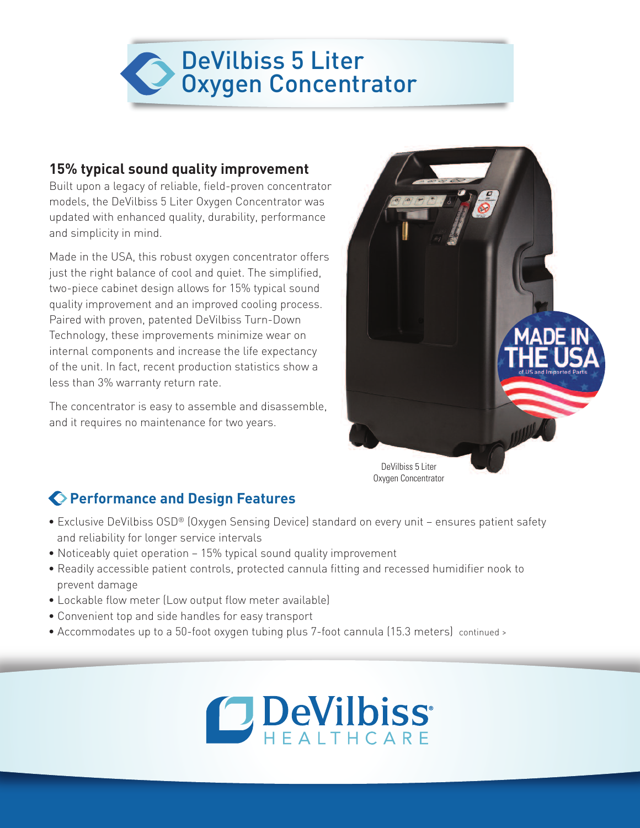

### **15% typical sound quality improvement**

Built upon a legacy of reliable, field-proven concentrator models, the DeVilbiss 5 Liter Oxygen Concentrator was updated with enhanced quality, durability, performance and simplicity in mind.

Made in the USA, this robust oxygen concentrator offers just the right balance of cool and quiet. The simplified, two-piece cabinet design allows for 15% typical sound quality improvement and an improved cooling process. Paired with proven, patented DeVilbiss Turn-Down Technology, these improvements minimize wear on internal components and increase the life expectancy of the unit. In fact, recent production statistics show a less than 3% warranty return rate.

The concentrator is easy to assemble and disassemble, and it requires no maintenance for two years.



### **Performance and Design Features**

- Exclusive DeVilbiss OSD® (Oxygen Sensing Device) standard on every unit ensures patient safety and reliability for longer service intervals
- Noticeably quiet operation 15% typical sound quality improvement
- Readily accessible patient controls, protected cannula fitting and recessed humidifier nook to prevent damage
- Lockable flow meter (Low output flow meter available)
- Convenient top and side handles for easy transport
- Accommodates up to a 50-foot oxygen tubing plus 7-foot cannula (15.3 meters) continued >